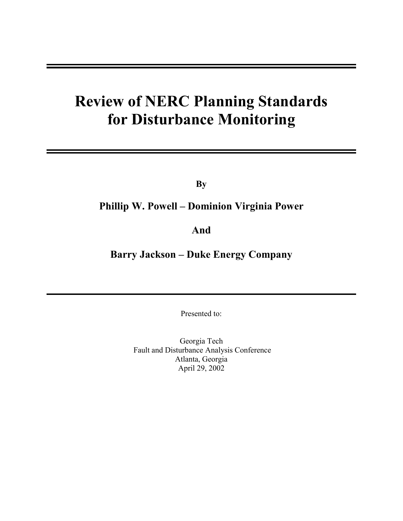# **Review of NERC Planning Standards for Disturbance Monitoring**

**By** 

# **Phillip W. Powell – Dominion Virginia Power**

# **And**

# **Barry Jackson – Duke Energy Company**

Presented to:

Georgia Tech Fault and Disturbance Analysis Conference Atlanta, Georgia April 29, 2002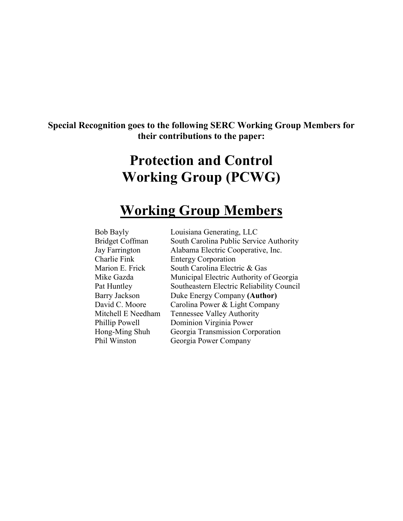# **Special Recognition goes to the following SERC Working Group Members for their contributions to the paper:**

# **Protection and Control Working Group (PCWG)**

# **Working Group Members**

| <b>Bob Bayly</b>       | Louisiana Generating, LLC                 |
|------------------------|-------------------------------------------|
| <b>Bridget Coffman</b> | South Carolina Public Service Authority   |
| Jay Farrington         | Alabama Electric Cooperative, Inc.        |
| Charlie Fink           | <b>Entergy Corporation</b>                |
| Marion E. Frick        | South Carolina Electric & Gas             |
| Mike Gazda             | Municipal Electric Authority of Georgia   |
| Pat Huntley            | Southeastern Electric Reliability Council |
| <b>Barry Jackson</b>   | Duke Energy Company (Author)              |
| David C. Moore         | Carolina Power & Light Company            |
| Mitchell E Needham     | <b>Tennessee Valley Authority</b>         |
| Phillip Powell         | Dominion Virginia Power                   |
| Hong-Ming Shuh         | Georgia Transmission Corporation          |
| Phil Winston           | Georgia Power Company                     |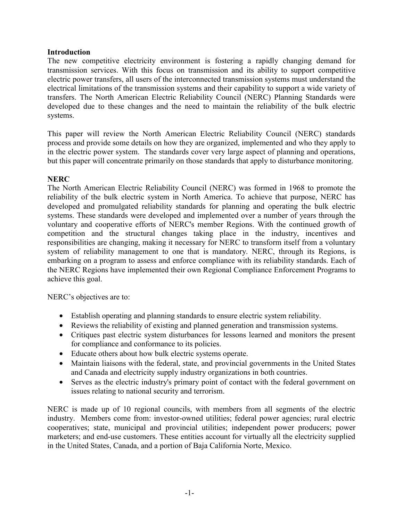## **Introduction**

The new competitive electricity environment is fostering a rapidly changing demand for transmission services. With this focus on transmission and its ability to support competitive electric power transfers, all users of the interconnected transmission systems must understand the electrical limitations of the transmission systems and their capability to support a wide variety of transfers. The North American Electric Reliability Council (NERC) Planning Standards were developed due to these changes and the need to maintain the reliability of the bulk electric systems.

This paper will review the North American Electric Reliability Council (NERC) standards process and provide some details on how they are organized, implemented and who they apply to in the electric power system. The standards cover very large aspect of planning and operations, but this paper will concentrate primarily on those standards that apply to disturbance monitoring.

## **NERC**

The North American Electric Reliability Council (NERC) was formed in 1968 to promote the reliability of the bulk electric system in North America. To achieve that purpose, NERC has developed and promulgated reliability standards for planning and operating the bulk electric systems. These standards were developed and implemented over a number of years through the voluntary and cooperative efforts of NERC's member Regions. With the continued growth of competition and the structural changes taking place in the industry, incentives and responsibilities are changing, making it necessary for NERC to transform itself from a voluntary system of reliability management to one that is mandatory. NERC, through its Regions, is embarking on a program to assess and enforce compliance with its reliability standards. Each of the NERC Regions have implemented their own Regional Compliance Enforcement Programs to achieve this goal.

NERC's objectives are to:

- Establish operating and planning standards to ensure electric system reliability.
- Reviews the reliability of existing and planned generation and transmission systems.
- Critiques past electric system disturbances for lessons learned and monitors the present for compliance and conformance to its policies.
- Educate others about how bulk electric systems operate.
- Maintain liaisons with the federal, state, and provincial governments in the United States and Canada and electricity supply industry organizations in both countries.
- Serves as the electric industry's primary point of contact with the federal government on issues relating to national security and terrorism.

NERC is made up of 10 regional councils, with members from all segments of the electric industry. Members come from: investor-owned utilities; federal power agencies; rural electric cooperatives; state, municipal and provincial utilities; independent power producers; power marketers; and end-use customers. These entities account for virtually all the electricity supplied in the United States, Canada, and a portion of Baja California Norte, Mexico.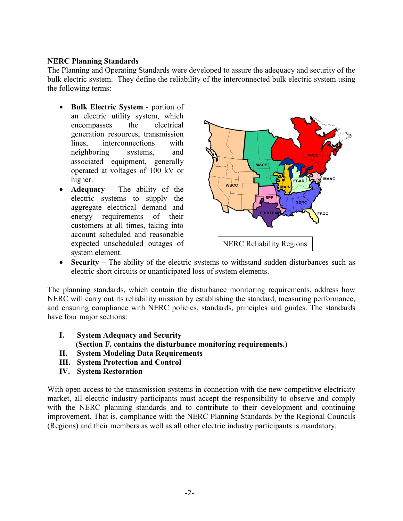## **NERC Planning Standards**

The Planning and Operating Standards were developed to assure the adequacy and security of the bulk electric system. They define the reliability of the interconnected bulk electric system using the following terms:

- **Bulk Electric System**  portion of an electric utility system, which encompasses the electrical generation resources, transmission lines, interconnections with neighboring systems, and associated equipment, generally operated at voltages of 100 kV or higher.
- **Adequacy** The ability of the electric systems to supply the aggregate electrical demand and energy requirements of their customers at all times, taking into account scheduled and reasonable expected unscheduled outages of system element.



• **Security** – The ability of the electric systems to withstand sudden disturbances such as electric short circuits or unanticipated loss of system elements.

The planning standards, which contain the disturbance monitoring requirements, address how NERC will carry out its reliability mission by establishing the standard, measuring performance, and ensuring compliance with NERC policies, standards, principles and guides. The standards have four major sections:

- **I. System Adequacy and Security (Section F. contains the disturbance monitoring requirements.)**
- **II. System Modeling Data Requirements**
- **III. System Protection and Control**
- **IV. System Restoration**

With open access to the transmission systems in connection with the new competitive electricity market, all electric industry participants must accept the responsibility to observe and comply with the NERC planning standards and to contribute to their development and continuing improvement. That is, compliance with the NERC Planning Standards by the Regional Councils (Regions) and their members as well as all other electric industry participants is mandatory.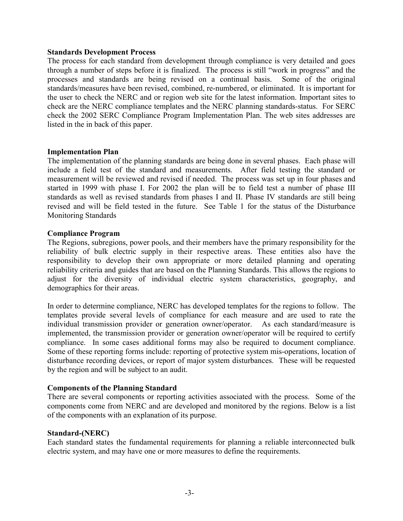#### **Standards Development Process**

The process for each standard from development through compliance is very detailed and goes through a number of steps before it is finalized. The process is still "work in progress" and the processes and standards are being revised on a continual basis. Some of the original standards/measures have been revised, combined, re-numbered, or eliminated. It is important for the user to check the NERC and or region web site for the latest information. Important sites to check are the NERC compliance templates and the NERC planning standards-status. For SERC check the 2002 SERC Compliance Program Implementation Plan. The web sites addresses are listed in the in back of this paper.

#### **Implementation Plan**

The implementation of the planning standards are being done in several phases. Each phase will include a field test of the standard and measurements. After field testing the standard or measurement will be reviewed and revised if needed. The process was set up in four phases and started in 1999 with phase I. For 2002 the plan will be to field test a number of phase III standards as well as revised standards from phases I and II. Phase IV standards are still being revised and will be field tested in the future. See Table 1 for the status of the Disturbance Monitoring Standards

#### **Compliance Program**

The Regions, subregions, power pools, and their members have the primary responsibility for the reliability of bulk electric supply in their respective areas. These entities also have the responsibility to develop their own appropriate or more detailed planning and operating reliability criteria and guides that are based on the Planning Standards. This allows the regions to adjust for the diversity of individual electric system characteristics, geography, and demographics for their areas.

In order to determine compliance, NERC has developed templates for the regions to follow. The templates provide several levels of compliance for each measure and are used to rate the individual transmission provider or generation owner/operator. As each standard/measure is implemented, the transmission provider or generation owner/operator will be required to certify compliance. In some cases additional forms may also be required to document compliance. Some of these reporting forms include: reporting of protective system mis-operations, location of disturbance recording devices, or report of major system disturbances. These will be requested by the region and will be subject to an audit.

#### **Components of the Planning Standard**

There are several components or reporting activities associated with the process. Some of the components come from NERC and are developed and monitored by the regions. Below is a list of the components with an explanation of its purpose.

#### **Standard-(NERC)**

Each standard states the fundamental requirements for planning a reliable interconnected bulk electric system, and may have one or more measures to define the requirements.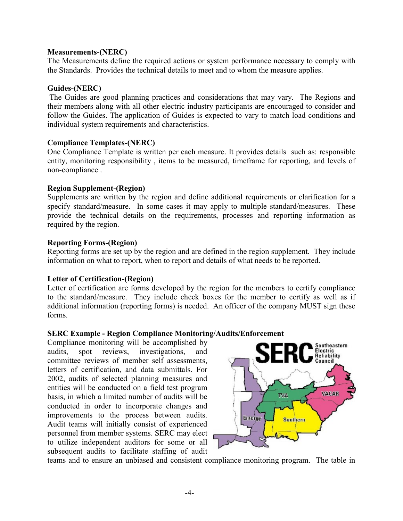#### **Measurements-(NERC)**

The Measurements define the required actions or system performance necessary to comply with the Standards. Provides the technical details to meet and to whom the measure applies.

#### **Guides-(NERC)**

 The Guides are good planning practices and considerations that may vary. The Regions and their members along with all other electric industry participants are encouraged to consider and follow the Guides. The application of Guides is expected to vary to match load conditions and individual system requirements and characteristics.

#### **Compliance Templates-(NERC)**

One Compliance Template is written per each measure. It provides details such as: responsible entity, monitoring responsibility , items to be measured, timeframe for reporting, and levels of non-compliance .

#### **Region Supplement-(Region)**

Supplements are written by the region and define additional requirements or clarification for a specify standard/measure. In some cases it may apply to multiple standard/measures. These provide the technical details on the requirements, processes and reporting information as required by the region.

#### **Reporting Forms-(Region)**

Reporting forms are set up by the region and are defined in the region supplement. They include information on what to report, when to report and details of what needs to be reported.

#### **Letter of Certification-(Region)**

Letter of certification are forms developed by the region for the members to certify compliance to the standard/measure. They include check boxes for the member to certify as well as if additional information (reporting forms) is needed. An officer of the company MUST sign these forms.

#### **SERC Example - Region Compliance Monitoring/Audits/Enforcement**

Compliance monitoring will be accomplished by audits, spot reviews, investigations, and committee reviews of member self assessments, letters of certification, and data submittals. For 2002, audits of selected planning measures and entities will be conducted on a field test program basis, in which a limited number of audits will be conducted in order to incorporate changes and improvements to the process between audits. Audit teams will initially consist of experienced personnel from member systems. SERC may elect to utilize independent auditors for some or all subsequent audits to facilitate staffing of audit



teams and to ensure an unbiased and consistent compliance monitoring program. The table in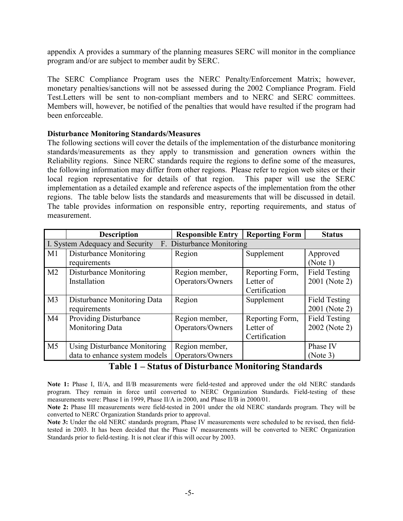appendix A provides a summary of the planning measures SERC will monitor in the compliance program and/or are subject to member audit by SERC.

The SERC Compliance Program uses the NERC Penalty/Enforcement Matrix; however, monetary penalties/sanctions will not be assessed during the 2002 Compliance Program. Field Test.Letters will be sent to non-compliant members and to NERC and SERC committees. Members will, however, be notified of the penalties that would have resulted if the program had been enforceable.

#### **Disturbance Monitoring Standards/Measures**

The following sections will cover the details of the implementation of the disturbance monitoring standards/measurements as they apply to transmission and generation owners within the Reliability regions. Since NERC standards require the regions to define some of the measures, the following information may differ from other regions. Please refer to region web sites or their local region representative for details of that region. This paper will use the SERC implementation as a detailed example and reference aspects of the implementation from the other regions. The table below lists the standards and measurements that will be discussed in detail. The table provides information on responsible entry, reporting requirements, and status of measurement.

|                                                              | <b>Description</b>                  | <b>Responsible Entry</b> | <b>Reporting Form</b> | <b>Status</b>        |
|--------------------------------------------------------------|-------------------------------------|--------------------------|-----------------------|----------------------|
| F. Disturbance Monitoring<br>I. System Adequacy and Security |                                     |                          |                       |                      |
| M1                                                           | Disturbance Monitoring              | Region                   | Supplement            | Approved             |
|                                                              | requirements                        |                          |                       | (Note 1)             |
| M <sub>2</sub>                                               | Disturbance Monitoring              | Region member,           | Reporting Form,       | <b>Field Testing</b> |
|                                                              | Installation                        | Operators/Owners         | Letter of             | 2001 (Note 2)        |
|                                                              |                                     |                          | Certification         |                      |
| M <sub>3</sub>                                               | Disturbance Monitoring Data         | Region                   | Supplement            | Field Testing        |
|                                                              | requirements                        |                          |                       | 2001 (Note 2)        |
| M4                                                           | <b>Providing Disturbance</b>        | Region member,           | Reporting Form,       | Field Testing        |
|                                                              | <b>Monitoring Data</b>              | Operators/Owners         | Letter of             | 2002 (Note 2)        |
|                                                              |                                     |                          | Certification         |                      |
| M <sub>5</sub>                                               | <b>Using Disturbance Monitoring</b> | Region member,           |                       | Phase IV             |
|                                                              | data to enhance system models       | Operators/Owners         |                       | (Note 3)             |

## **Table 1 – Status of Disturbance Monitoring Standards**

Note 1: Phase I, II/A, and II/B measurements were field-tested and approved under the old NERC standards program. They remain in force until converted to NERC Organization Standards. Field-testing of these measurements were: Phase I in 1999, Phase II/A in 2000, and Phase II/B in 2000/01.

**Note 2:** Phase III measurements were field-tested in 2001 under the old NERC standards program. They will be converted to NERC Organization Standards prior to approval.

**Note 3:** Under the old NERC standards program, Phase IV measurements were scheduled to be revised, then fieldtested in 2003. It has been decided that the Phase IV measurements will be converted to NERC Organization Standards prior to field-testing. It is not clear if this will occur by 2003.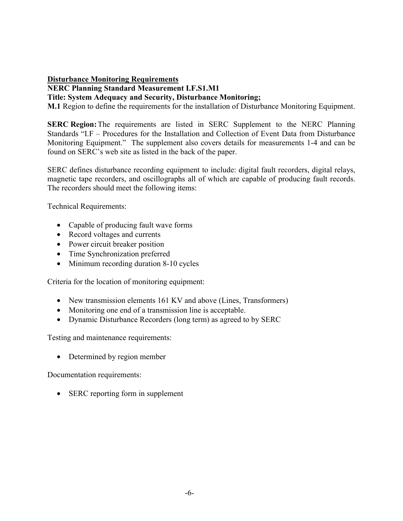# **Disturbance Monitoring Requirements NERC Planning Standard Measurement I.F.S1.M1**

**Title: System Adequacy and Security, Disturbance Monitoring;** 

**M.1** Region to define the requirements for the installation of Disturbance Monitoring Equipment.

**SERC Region:** The requirements are listed in SERC Supplement to the NERC Planning Standards "I.F – Procedures for the Installation and Collection of Event Data from Disturbance Monitoring Equipment." The supplement also covers details for measurements 1-4 and can be found on SERC's web site as listed in the back of the paper.

SERC defines disturbance recording equipment to include: digital fault recorders, digital relays, magnetic tape recorders, and oscillographs all of which are capable of producing fault records. The recorders should meet the following items:

Technical Requirements:

- Capable of producing fault wave forms
- Record voltages and currents
- Power circuit breaker position
- Time Synchronization preferred
- Minimum recording duration 8-10 cycles

Criteria for the location of monitoring equipment:

- New transmission elements 161 KV and above (Lines, Transformers)
- Monitoring one end of a transmission line is acceptable.
- Dynamic Disturbance Recorders (long term) as agreed to by SERC

Testing and maintenance requirements:

• Determined by region member

Documentation requirements:

• SERC reporting form in supplement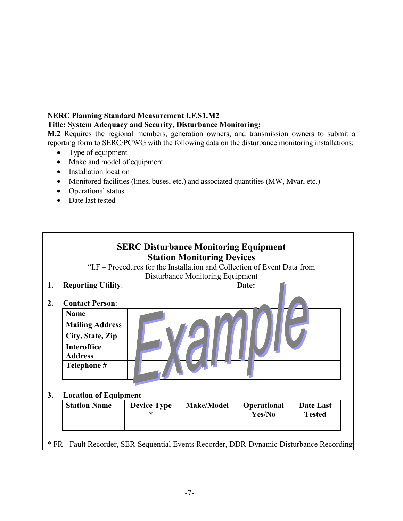# **NERC Planning Standard Measurement I.F.S1.M2**

### **Title: System Adequacy and Security, Disturbance Monitoring;**

**M.2** Requires the regional members, generation owners, and transmission owners to submit a reporting form to SERC/PCWG with the following data on the disturbance monitoring installations:

- Type of equipment
- Make and model of equipment
- Installation location
- Monitored facilities (lines, buses, etc.) and associated quantities (MW, Mvar, etc.)
- Operational status
- Date last tested

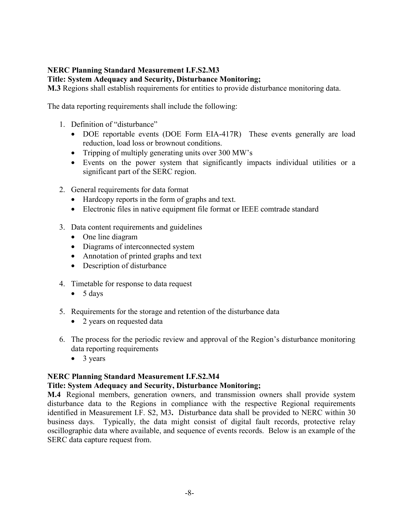# **NERC Planning Standard Measurement I.F.S2.M3**

**Title: System Adequacy and Security, Disturbance Monitoring;** 

**M.3** Regions shall establish requirements for entities to provide disturbance monitoring data.

The data reporting requirements shall include the following:

- 1. Definition of "disturbance"
	- DOE reportable events (DOE Form EIA-417R) These events generally are load reduction, load loss or brownout conditions.
	- Tripping of multiply generating units over 300 MW's
	- Events on the power system that significantly impacts individual utilities or a significant part of the SERC region.
- 2. General requirements for data format
	- Hardcopy reports in the form of graphs and text.
	- Electronic files in native equipment file format or IEEE comtrade standard
- 3. Data content requirements and guidelines
	- One line diagram
	- Diagrams of interconnected system
	- Annotation of printed graphs and text
	- Description of disturbance
- 4. Timetable for response to data request
	- $\bullet$  5 days
- 5. Requirements for the storage and retention of the disturbance data
	- 2 years on requested data
- 6. The process for the periodic review and approval of the Region's disturbance monitoring data reporting requirements
	- 3 years

## **NERC Planning Standard Measurement I.F.S2.M4**

## **Title: System Adequacy and Security, Disturbance Monitoring;**

**M.4** Regional members, generation owners, and transmission owners shall provide system disturbance data to the Regions in compliance with the respective Regional requirements identified in Measurement I.F. S2, M3**.** Disturbance data shall be provided to NERC within 30 business days. Typically, the data might consist of digital fault records, protective relay oscillographic data where available, and sequence of events records. Below is an example of the SERC data capture request from.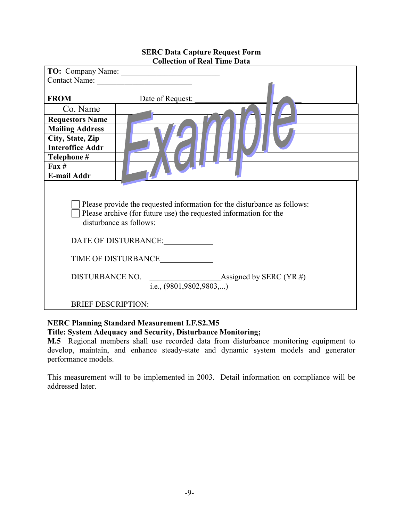|                                                                                                                                                                                                                         | Contact Name:    |  |  |
|-------------------------------------------------------------------------------------------------------------------------------------------------------------------------------------------------------------------------|------------------|--|--|
| <b>FROM</b>                                                                                                                                                                                                             | Date of Request: |  |  |
| Co. Name                                                                                                                                                                                                                |                  |  |  |
| <b>Requestors Name</b>                                                                                                                                                                                                  |                  |  |  |
| <b>Mailing Address</b>                                                                                                                                                                                                  |                  |  |  |
| City, State, Zip                                                                                                                                                                                                        |                  |  |  |
| <b>Interoffice Addr</b>                                                                                                                                                                                                 |                  |  |  |
| Telephone #                                                                                                                                                                                                             |                  |  |  |
| $\text{Fax} \#$                                                                                                                                                                                                         |                  |  |  |
| <b>E-mail Addr</b>                                                                                                                                                                                                      |                  |  |  |
| Please provide the requested information for the disturbance as follows:<br>Please archive (for future use) the requested information for the<br>disturbance as follows:<br>DATE OF DISTURBANCE:<br>TIME OF DISTURBANCE |                  |  |  |
| DISTURBANCE NO.<br>Assigned by SERC $(YR, \#)$<br>i.e., $(9801, 9802, 9803,)$                                                                                                                                           |                  |  |  |
| <b>BRIEF DESCRIPTION:</b>                                                                                                                                                                                               |                  |  |  |

#### **SERC Data Capture Request Form Collection of Real Time Data**

## **NERC Planning Standard Measurement I.F.S2.M5 Title: System Adequacy and Security, Disturbance Monitoring;**

**M.5** Regional members shall use recorded data from disturbance monitoring equipment to develop, maintain, and enhance steady-state and dynamic system models and generator performance models.

This measurement will to be implemented in 2003. Detail information on compliance will be addressed later.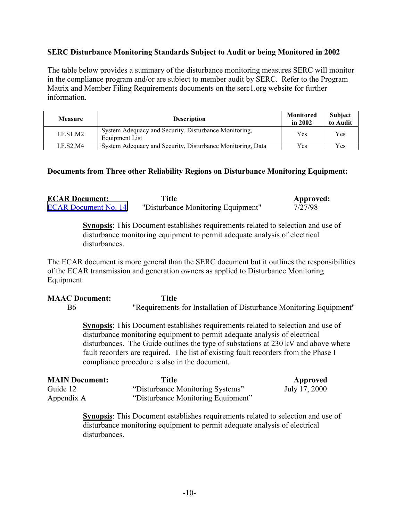## **SERC Disturbance Monitoring Standards Subject to Audit or being Monitored in 2002**

The table below provides a summary of the disturbance monitoring measures SERC will monitor in the compliance program and/or are subject to member audit by SERC. Refer to the Program Matrix and Member Filing Requirements documents on the serc1.org website for further information.

| <b>Measure</b> | <b>Description</b>                                                      | Monitored<br>in 2002 | Subject<br>to Audit |
|----------------|-------------------------------------------------------------------------|----------------------|---------------------|
| LES1.M2        | System Adequacy and Security, Disturbance Monitoring,<br>Equipment List | <b>Yes</b>           | Yes                 |
| I.F.S2.M4      | System Adequacy and Security, Disturbance Monitoring, Data              | Yes.                 | Yes                 |

#### **Documents from Three other Reliability Regions on Disturbance Monitoring Equipment:**

| <b>ECAR Document:</b>       | Title                              | Approved: |
|-----------------------------|------------------------------------|-----------|
| <b>ECAR Document No. 14</b> | "Disturbance Monitoring Equipment" | 7/27/98   |

**Synopsis**: This Document establishes requirements related to selection and use of disturbance monitoring equipment to permit adequate analysis of electrical disturbances.

The ECAR document is more general than the SERC document but it outlines the responsibilities of the ECAR transmission and generation owners as applied to Disturbance Monitoring Equipment.

#### **MAAC Document: Title**  B6 "Requirements for Installation of Disturbance Monitoring Equipment"

**Synopsis**: This Document establishes requirements related to selection and use of disturbance monitoring equipment to permit adequate analysis of electrical disturbances. The Guide outlines the type of substations at 230 kV and above where fault recorders are required. The list of existing fault recorders from the Phase I compliance procedure is also in the document.

| <b>MAIN Document:</b> | Title                              | Approved      |
|-----------------------|------------------------------------|---------------|
| Guide 12              | "Disturbance Monitoring Systems"   | July 17, 2000 |
| Appendix A            | "Disturbance Monitoring Equipment" |               |

**Synopsis**: This Document establishes requirements related to selection and use of disturbance monitoring equipment to permit adequate analysis of electrical disturbances.